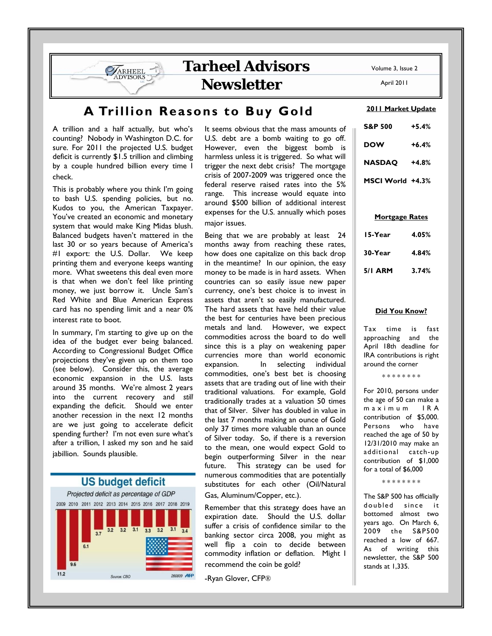**Tarheel Advisors** 

**Newsletter** 

# **A Trillion Reasons to Buy Gold**

A trillion and a half actually, but who's counting? Nobody in Washington D.C. for sure. For 2011 the projected U.S. budget deficit is currently \$1.5 trillion and climbing by a couple hundred billion every time I check.

ARHEEL

This is probably where you think I'm going to bash U.S. spending policies, but no. Kudos to you, the American Taxpayer. You've created an economic and monetary system that would make King Midas blush. Balanced budgets haven't mattered in the last 30 or so years because of America's #1 export: the U.S. Dollar. We keep printing them and everyone keeps wanting more. What sweetens this deal even more is that when we don't feel like printing money, we just borrow it. Uncle Sam's Red White and Blue American Express card has no spending limit and a near 0% interest rate to boot.

In summary, I'm starting to give up on the idea of the budget ever being balanced. According to Congressional Budget Office projections they've given up on them too (see below). Consider this, the average economic expansion in the U.S. lasts around 35 months. We're almost 2 years into the current recovery and *still* expanding the deficit. Should we enter another recession in the next 12 months are we just going to accelerate deficit spending further? I'm not even sure what's after a trillion, I asked my son and he said jabillion. Sounds plausible.



It seems obvious that the mass amounts of U.S. debt are a bomb waiting to go off. However, even the biggest bomb is harmless unless it is triggered. So what will trigger the next debt crisis? The mortgage crisis of 2007-2009 was triggered once the federal reserve raised rates into the 5% range. This increase would equate into around \$500 billion of additional interest expenses for the U.S. annually which poses major issues.

Being that we are probably at least 24 months away from reaching these rates, how does one capitalize on this back drop in the meantime? In our opinion, the easy money to be made is in hard assets. When countries can so easily issue new paper currency, one's best choice is to invest in assets that aren't so easily manufactured. The hard assets that have held their value the best for centuries have been precious metals and land. However, we expect commodities across the board to do well since this is a play on weakening paper currencies more than world economic expansion. In selecting individual commodities, one's best bet is choosing assets that are trading out of line with their traditional valuations. For example, Gold traditionally trades at a valuation 50 times that of Silver. Silver has doubled in value in the last 7 months making an ounce of Gold only 37 times more valuable than an ounce of Silver today. So, if there is a reversion to the mean, one would expect Gold to begin outperforming Silver in the near future. This strategy can be used for numerous commodities that are potentially substitutes for each other (Oil/Natural Gas, Aluminum/Copper, etc.).

Remember that this strategy does have an expiration date. Should the U.S. dollar suffer a crisis of confidence similar to the banking sector circa 2008, you might as well flip a coin to decide between commodity inflation or deflation. Might I recommend the coin be gold?

-Ryan Glover, CFP®

Volume 3, Issue 2

April 2011

#### **2011 Market Update**

| <b>S&amp;P 500</b> | +5.4%   |
|--------------------|---------|
| DOW                | $+6.4%$ |
| <b>NASDAQ</b>      | +4.8%   |
| MSCI World +4.3%   |         |

#### **Mortgage Rates**

| 15-Year        | 4.05% |
|----------------|-------|
| 30-Year        | 4.84% |
| <b>5/1 ARM</b> | 3.74% |

#### **Did You Know?**

Tax time is fast approaching and the April 18th deadline for IRA contributions is right around the corner

\* \* \* \* \* \* \* \*

For 2010, persons under the age of 50 can make a m a x i m u m I R A contribution of \$5,000. Persons who have reached the age of 50 by 12/31/2010 may make an additional catch-up contribution of \$1,000 for a total of \$6,000

\* \* \* \* \* \* \* \*

The S&P 500 has officially doubled since it bottomed almost two years ago. On March 6, 2009 the S&P500 reached a low of 667. As of writing this newsletter, the S&P 500 stands at 1,335.